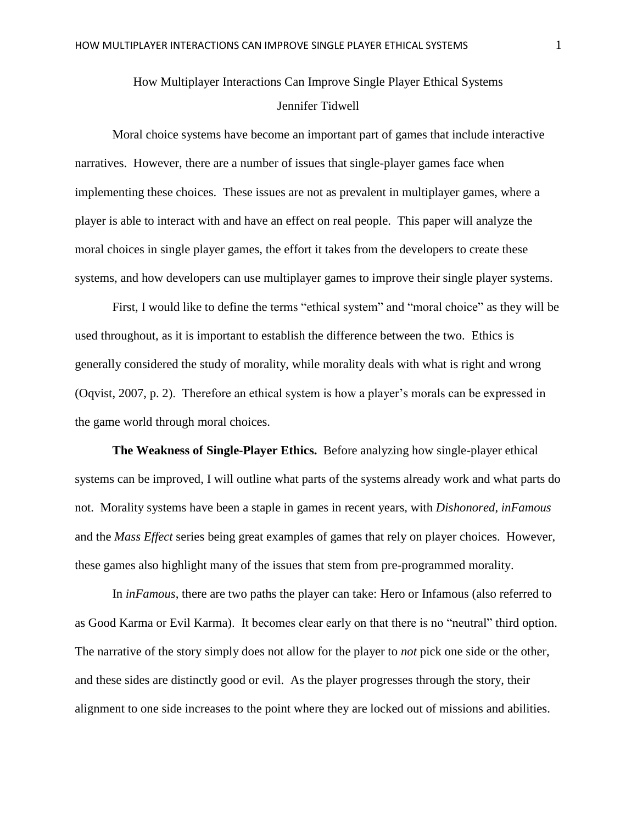## How Multiplayer Interactions Can Improve Single Player Ethical Systems Jennifer Tidwell

Moral choice systems have become an important part of games that include interactive narratives. However, there are a number of issues that single-player games face when implementing these choices. These issues are not as prevalent in multiplayer games, where a player is able to interact with and have an effect on real people. This paper will analyze the moral choices in single player games, the effort it takes from the developers to create these systems, and how developers can use multiplayer games to improve their single player systems.

First, I would like to define the terms "ethical system" and "moral choice" as they will be used throughout, as it is important to establish the difference between the two. Ethics is generally considered the study of morality, while morality deals with what is right and wrong (Oqvist, 2007, p. 2). Therefore an ethical system is how a player's morals can be expressed in the game world through moral choices.

**The Weakness of Single-Player Ethics.** Before analyzing how single-player ethical systems can be improved, I will outline what parts of the systems already work and what parts do not. Morality systems have been a staple in games in recent years, with *Dishonored*, *inFamous* and the *Mass Effect* series being great examples of games that rely on player choices. However, these games also highlight many of the issues that stem from pre-programmed morality.

In *inFamous*, there are two paths the player can take: Hero or Infamous (also referred to as Good Karma or Evil Karma). It becomes clear early on that there is no "neutral" third option. The narrative of the story simply does not allow for the player to *not* pick one side or the other, and these sides are distinctly good or evil. As the player progresses through the story, their alignment to one side increases to the point where they are locked out of missions and abilities.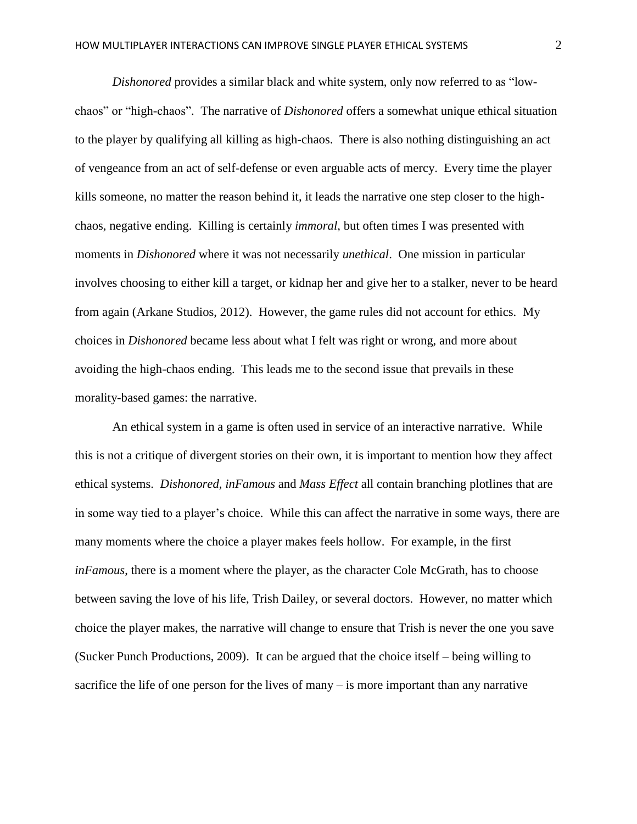*Dishonored* provides a similar black and white system, only now referred to as "lowchaos" or "high-chaos". The narrative of *Dishonored* offers a somewhat unique ethical situation to the player by qualifying all killing as high-chaos. There is also nothing distinguishing an act of vengeance from an act of self-defense or even arguable acts of mercy. Every time the player kills someone, no matter the reason behind it, it leads the narrative one step closer to the highchaos, negative ending. Killing is certainly *immoral*, but often times I was presented with moments in *Dishonored* where it was not necessarily *unethical*. One mission in particular involves choosing to either kill a target, or kidnap her and give her to a stalker, never to be heard from again (Arkane Studios, 2012). However, the game rules did not account for ethics. My choices in *Dishonored* became less about what I felt was right or wrong, and more about avoiding the high-chaos ending. This leads me to the second issue that prevails in these morality-based games: the narrative.

An ethical system in a game is often used in service of an interactive narrative. While this is not a critique of divergent stories on their own, it is important to mention how they affect ethical systems. *Dishonored, inFamous* and *Mass Effect* all contain branching plotlines that are in some way tied to a player's choice. While this can affect the narrative in some ways, there are many moments where the choice a player makes feels hollow. For example, in the first *inFamous*, there is a moment where the player, as the character Cole McGrath, has to choose between saving the love of his life, Trish Dailey, or several doctors. However, no matter which choice the player makes, the narrative will change to ensure that Trish is never the one you save (Sucker Punch Productions, 2009). It can be argued that the choice itself – being willing to sacrifice the life of one person for the lives of many – is more important than any narrative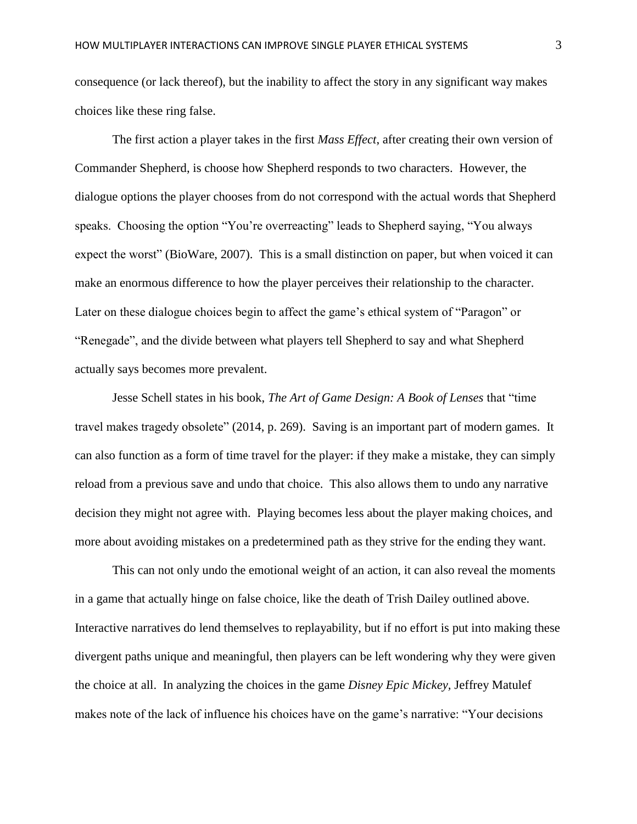consequence (or lack thereof), but the inability to affect the story in any significant way makes choices like these ring false.

The first action a player takes in the first *Mass Effect*, after creating their own version of Commander Shepherd, is choose how Shepherd responds to two characters. However, the dialogue options the player chooses from do not correspond with the actual words that Shepherd speaks. Choosing the option "You're overreacting" leads to Shepherd saying, "You always expect the worst" (BioWare, 2007). This is a small distinction on paper, but when voiced it can make an enormous difference to how the player perceives their relationship to the character. Later on these dialogue choices begin to affect the game's ethical system of "Paragon" or "Renegade", and the divide between what players tell Shepherd to say and what Shepherd actually says becomes more prevalent.

Jesse Schell states in his book, *The Art of Game Design: A Book of Lenses* that "time travel makes tragedy obsolete" (2014, p. 269). Saving is an important part of modern games. It can also function as a form of time travel for the player: if they make a mistake, they can simply reload from a previous save and undo that choice. This also allows them to undo any narrative decision they might not agree with. Playing becomes less about the player making choices, and more about avoiding mistakes on a predetermined path as they strive for the ending they want.

This can not only undo the emotional weight of an action, it can also reveal the moments in a game that actually hinge on false choice, like the death of Trish Dailey outlined above. Interactive narratives do lend themselves to replayability, but if no effort is put into making these divergent paths unique and meaningful, then players can be left wondering why they were given the choice at all. In analyzing the choices in the game *Disney Epic Mickey,* Jeffrey Matulef makes note of the lack of influence his choices have on the game's narrative: "Your decisions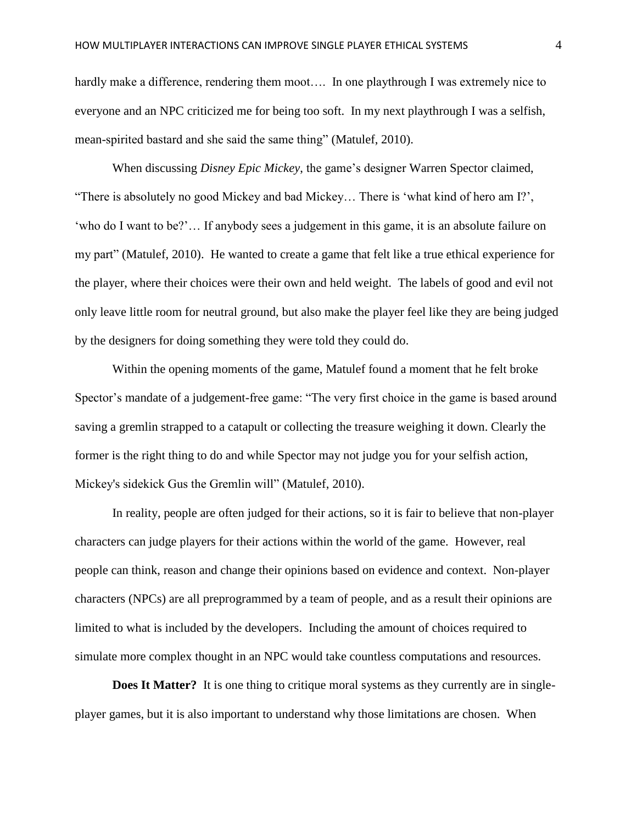hardly make a difference, rendering them moot.... In one playthrough I was extremely nice to everyone and an NPC criticized me for being too soft. In my next playthrough I was a selfish, mean-spirited bastard and she said the same thing" (Matulef, 2010).

When discussing *Disney Epic Mickey*, the game's designer Warren Spector claimed, "There is absolutely no good Mickey and bad Mickey… There is 'what kind of hero am I?', 'who do I want to be?'… If anybody sees a judgement in this game, it is an absolute failure on my part" (Matulef, 2010). He wanted to create a game that felt like a true ethical experience for the player, where their choices were their own and held weight. The labels of good and evil not only leave little room for neutral ground, but also make the player feel like they are being judged by the designers for doing something they were told they could do.

Within the opening moments of the game, Matulef found a moment that he felt broke Spector's mandate of a judgement-free game: "The very first choice in the game is based around saving a gremlin strapped to a catapult or collecting the treasure weighing it down. Clearly the former is the right thing to do and while Spector may not judge you for your selfish action, Mickey's sidekick Gus the Gremlin will" (Matulef, 2010).

In reality, people are often judged for their actions, so it is fair to believe that non-player characters can judge players for their actions within the world of the game. However, real people can think, reason and change their opinions based on evidence and context. Non-player characters (NPCs) are all preprogrammed by a team of people, and as a result their opinions are limited to what is included by the developers. Including the amount of choices required to simulate more complex thought in an NPC would take countless computations and resources.

**Does It Matter?** It is one thing to critique moral systems as they currently are in singleplayer games, but it is also important to understand why those limitations are chosen. When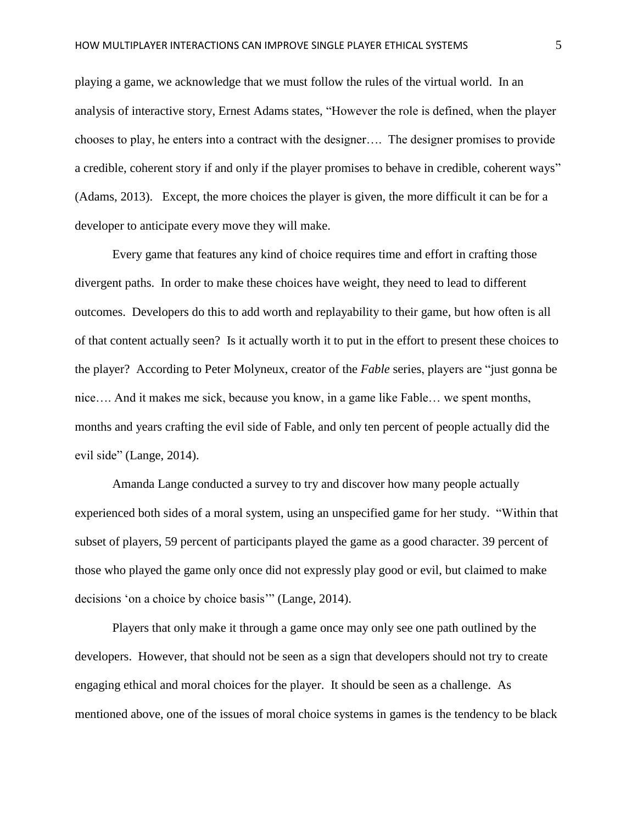playing a game, we acknowledge that we must follow the rules of the virtual world. In an analysis of interactive story, Ernest Adams states, "However the role is defined, when the player chooses to play, he enters into a contract with the designer…. The designer promises to provide a credible, coherent story if and only if the player promises to behave in credible, coherent ways" (Adams, 2013). Except, the more choices the player is given, the more difficult it can be for a developer to anticipate every move they will make.

Every game that features any kind of choice requires time and effort in crafting those divergent paths. In order to make these choices have weight, they need to lead to different outcomes. Developers do this to add worth and replayability to their game, but how often is all of that content actually seen? Is it actually worth it to put in the effort to present these choices to the player? According to Peter Molyneux, creator of the *Fable* series, players are "just gonna be nice…. And it makes me sick, because you know, in a game like Fable… we spent months, months and years crafting the evil side of Fable, and only ten percent of people actually did the evil side" (Lange, 2014).

Amanda Lange conducted a survey to try and discover how many people actually experienced both sides of a moral system, using an unspecified game for her study. "Within that subset of players, 59 percent of participants played the game as a good character. 39 percent of those who played the game only once did not expressly play good or evil, but claimed to make decisions 'on a choice by choice basis'" (Lange, 2014).

Players that only make it through a game once may only see one path outlined by the developers. However, that should not be seen as a sign that developers should not try to create engaging ethical and moral choices for the player. It should be seen as a challenge. As mentioned above, one of the issues of moral choice systems in games is the tendency to be black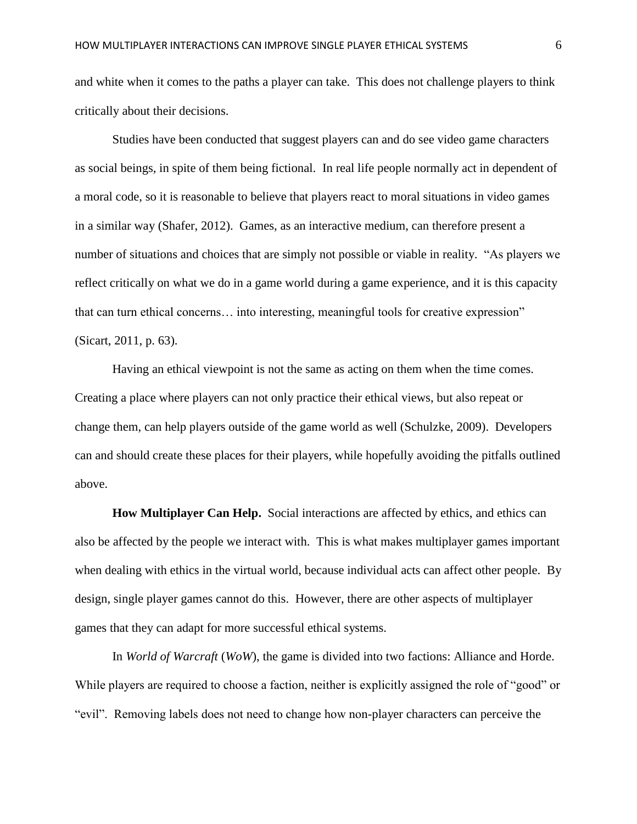and white when it comes to the paths a player can take. This does not challenge players to think critically about their decisions.

Studies have been conducted that suggest players can and do see video game characters as social beings, in spite of them being fictional. In real life people normally act in dependent of a moral code, so it is reasonable to believe that players react to moral situations in video games in a similar way (Shafer, 2012). Games, as an interactive medium, can therefore present a number of situations and choices that are simply not possible or viable in reality. "As players we reflect critically on what we do in a game world during a game experience, and it is this capacity that can turn ethical concerns… into interesting, meaningful tools for creative expression" (Sicart, 2011, p. 63).

Having an ethical viewpoint is not the same as acting on them when the time comes. Creating a place where players can not only practice their ethical views, but also repeat or change them, can help players outside of the game world as well (Schulzke, 2009). Developers can and should create these places for their players, while hopefully avoiding the pitfalls outlined above.

**How Multiplayer Can Help.** Social interactions are affected by ethics, and ethics can also be affected by the people we interact with. This is what makes multiplayer games important when dealing with ethics in the virtual world, because individual acts can affect other people. By design, single player games cannot do this. However, there are other aspects of multiplayer games that they can adapt for more successful ethical systems.

In *World of Warcraft* (*WoW*), the game is divided into two factions: Alliance and Horde. While players are required to choose a faction, neither is explicitly assigned the role of "good" or "evil". Removing labels does not need to change how non-player characters can perceive the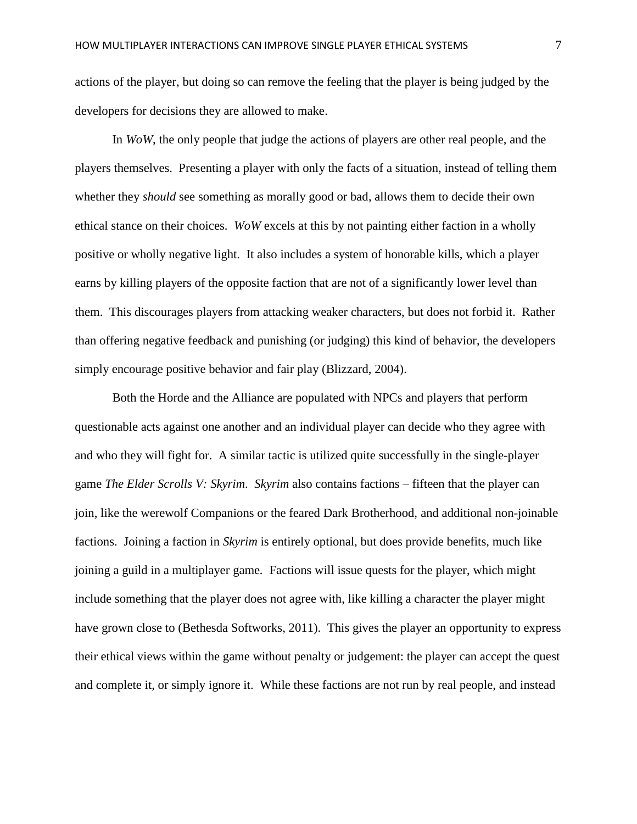actions of the player, but doing so can remove the feeling that the player is being judged by the developers for decisions they are allowed to make.

In *WoW*, the only people that judge the actions of players are other real people, and the players themselves. Presenting a player with only the facts of a situation, instead of telling them whether they *should* see something as morally good or bad, allows them to decide their own ethical stance on their choices. *WoW* excels at this by not painting either faction in a wholly positive or wholly negative light. It also includes a system of honorable kills, which a player earns by killing players of the opposite faction that are not of a significantly lower level than them. This discourages players from attacking weaker characters, but does not forbid it. Rather than offering negative feedback and punishing (or judging) this kind of behavior, the developers simply encourage positive behavior and fair play (Blizzard, 2004).

Both the Horde and the Alliance are populated with NPCs and players that perform questionable acts against one another and an individual player can decide who they agree with and who they will fight for. A similar tactic is utilized quite successfully in the single-player game *The Elder Scrolls V: Skyrim*. *Skyrim* also contains factions – fifteen that the player can join, like the werewolf Companions or the feared Dark Brotherhood, and additional non-joinable factions. Joining a faction in *Skyrim* is entirely optional, but does provide benefits, much like joining a guild in a multiplayer game*.* Factions will issue quests for the player, which might include something that the player does not agree with, like killing a character the player might have grown close to (Bethesda Softworks, 2011). This gives the player an opportunity to express their ethical views within the game without penalty or judgement: the player can accept the quest and complete it, or simply ignore it. While these factions are not run by real people, and instead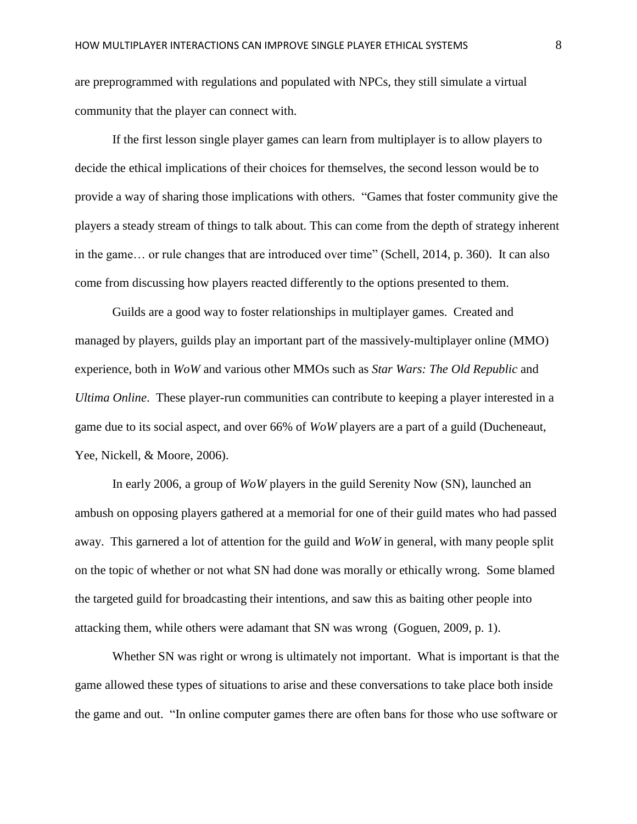are preprogrammed with regulations and populated with NPCs, they still simulate a virtual community that the player can connect with.

If the first lesson single player games can learn from multiplayer is to allow players to decide the ethical implications of their choices for themselves, the second lesson would be to provide a way of sharing those implications with others. "Games that foster community give the players a steady stream of things to talk about. This can come from the depth of strategy inherent in the game… or rule changes that are introduced over time" (Schell, 2014, p. 360). It can also come from discussing how players reacted differently to the options presented to them.

Guilds are a good way to foster relationships in multiplayer games. Created and managed by players, guilds play an important part of the massively-multiplayer online (MMO) experience, both in *WoW* and various other MMOs such as *Star Wars: The Old Republic* and *Ultima Online*. These player-run communities can contribute to keeping a player interested in a game due to its social aspect, and over 66% of *WoW* players are a part of a guild (Ducheneaut, Yee, Nickell, & Moore, 2006).

In early 2006, a group of *WoW* players in the guild Serenity Now (SN), launched an ambush on opposing players gathered at a memorial for one of their guild mates who had passed away. This garnered a lot of attention for the guild and *WoW* in general, with many people split on the topic of whether or not what SN had done was morally or ethically wrong. Some blamed the targeted guild for broadcasting their intentions, and saw this as baiting other people into attacking them, while others were adamant that SN was wrong (Goguen, 2009, p. 1).

Whether SN was right or wrong is ultimately not important. What is important is that the game allowed these types of situations to arise and these conversations to take place both inside the game and out. "In online computer games there are often bans for those who use software or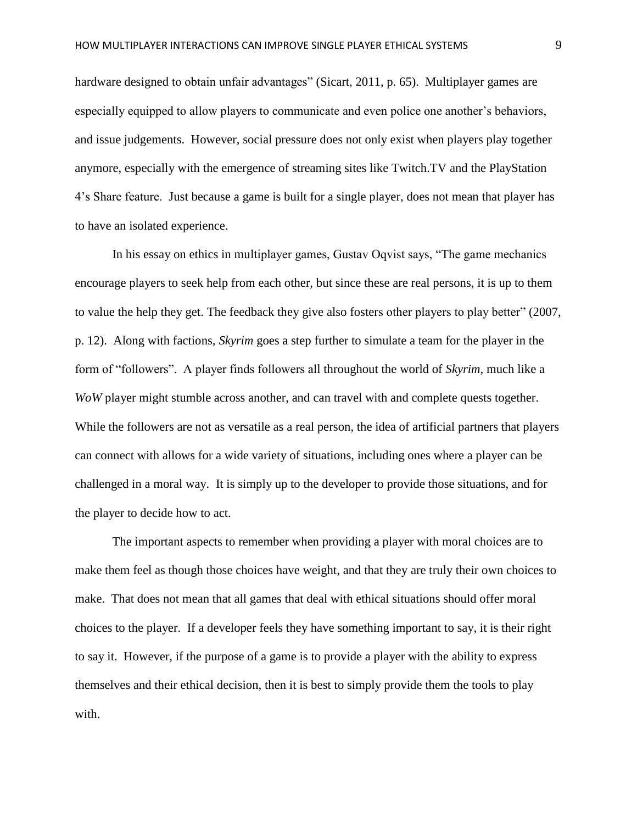hardware designed to obtain unfair advantages" (Sicart, 2011, p. 65). Multiplayer games are especially equipped to allow players to communicate and even police one another's behaviors, and issue judgements. However, social pressure does not only exist when players play together anymore, especially with the emergence of streaming sites like Twitch.TV and the PlayStation 4's Share feature. Just because a game is built for a single player, does not mean that player has to have an isolated experience.

In his essay on ethics in multiplayer games, Gustav Oqvist says, "The game mechanics encourage players to seek help from each other, but since these are real persons, it is up to them to value the help they get. The feedback they give also fosters other players to play better" (2007, p. 12). Along with factions, *Skyrim* goes a step further to simulate a team for the player in the form of "followers". A player finds followers all throughout the world of *Skyrim*, much like a *WoW* player might stumble across another, and can travel with and complete quests together. While the followers are not as versatile as a real person, the idea of artificial partners that players can connect with allows for a wide variety of situations, including ones where a player can be challenged in a moral way. It is simply up to the developer to provide those situations, and for the player to decide how to act.

The important aspects to remember when providing a player with moral choices are to make them feel as though those choices have weight, and that they are truly their own choices to make. That does not mean that all games that deal with ethical situations should offer moral choices to the player. If a developer feels they have something important to say, it is their right to say it. However, if the purpose of a game is to provide a player with the ability to express themselves and their ethical decision, then it is best to simply provide them the tools to play with.